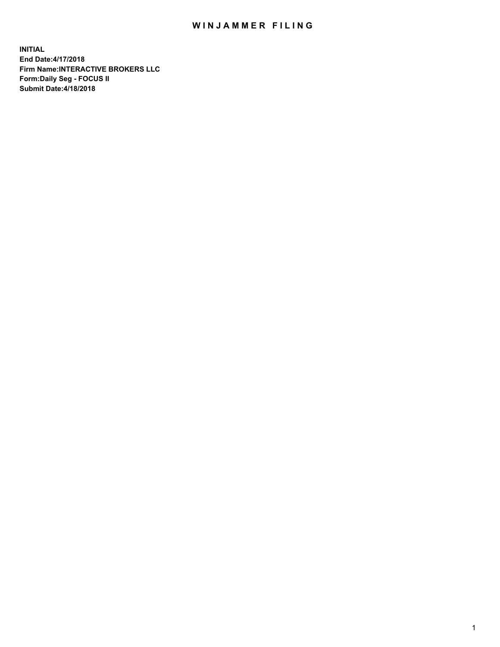## WIN JAMMER FILING

**INITIAL End Date:4/17/2018 Firm Name:INTERACTIVE BROKERS LLC Form:Daily Seg - FOCUS II Submit Date:4/18/2018**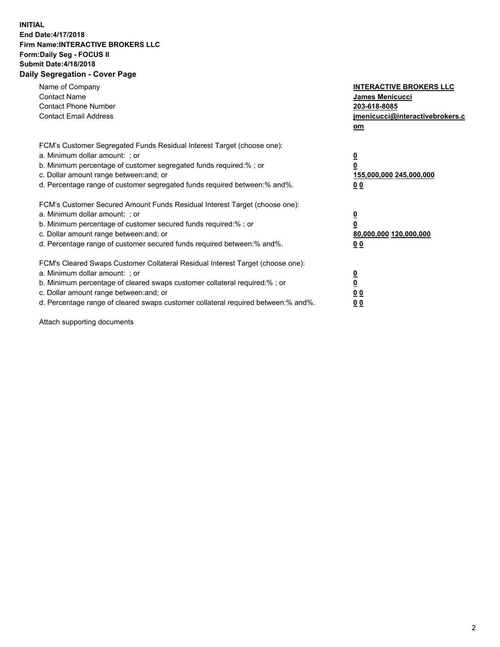## **INITIAL End Date:4/17/2018 Firm Name:INTERACTIVE BROKERS LLC Form:Daily Seg - FOCUS II Submit Date:4/18/2018 Daily Segregation - Cover Page**

| Name of Company<br><b>Contact Name</b><br><b>Contact Phone Number</b><br><b>Contact Email Address</b>                                                                                                                                                                                                                          | <b>INTERACTIVE BROKERS LLC</b><br><b>James Menicucci</b><br>203-618-8085<br>jmenicucci@interactivebrokers.c<br>om |
|--------------------------------------------------------------------------------------------------------------------------------------------------------------------------------------------------------------------------------------------------------------------------------------------------------------------------------|-------------------------------------------------------------------------------------------------------------------|
| FCM's Customer Segregated Funds Residual Interest Target (choose one):<br>a. Minimum dollar amount: ; or<br>b. Minimum percentage of customer segregated funds required:% ; or<br>c. Dollar amount range between: and; or<br>d. Percentage range of customer segregated funds required between: % and %.                       | $\overline{\mathbf{0}}$<br>0<br>155,000,000 245,000,000<br>00                                                     |
| FCM's Customer Secured Amount Funds Residual Interest Target (choose one):<br>a. Minimum dollar amount: ; or<br>b. Minimum percentage of customer secured funds required:%; or<br>c. Dollar amount range between: and; or<br>d. Percentage range of customer secured funds required between: % and %.                          | $\overline{\mathbf{0}}$<br>0<br>80,000,000 120,000,000<br>00                                                      |
| FCM's Cleared Swaps Customer Collateral Residual Interest Target (choose one):<br>a. Minimum dollar amount: ; or<br>b. Minimum percentage of cleared swaps customer collateral required:% ; or<br>c. Dollar amount range between: and; or<br>d. Percentage range of cleared swaps customer collateral required between:% and%. | $\overline{\mathbf{0}}$<br>$\overline{\mathbf{0}}$<br>00<br>0 <sub>0</sub>                                        |

Attach supporting documents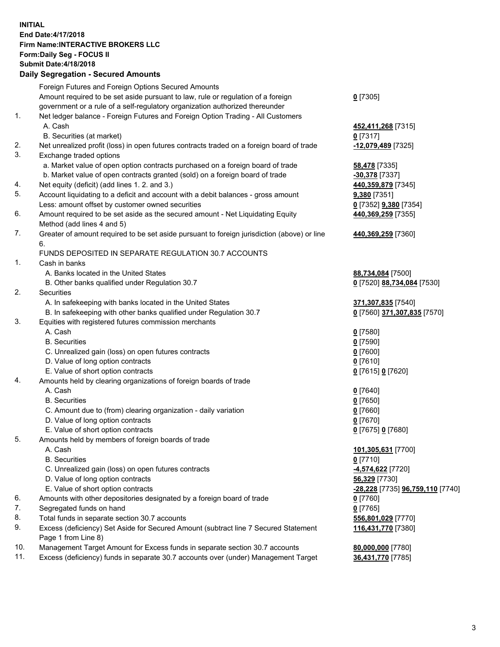## **INITIAL End Date:4/17/2018 Firm Name:INTERACTIVE BROKERS LLC Form:Daily Seg - FOCUS II Submit Date:4/18/2018 Daily Segregation - Secured Amounts**

|                | Daily Segregation - Secured Announts                                                                       |                                  |
|----------------|------------------------------------------------------------------------------------------------------------|----------------------------------|
|                | Foreign Futures and Foreign Options Secured Amounts                                                        |                                  |
|                | Amount required to be set aside pursuant to law, rule or regulation of a foreign                           | $0$ [7305]                       |
|                | government or a rule of a self-regulatory organization authorized thereunder                               |                                  |
| $\mathbf{1}$ . | Net ledger balance - Foreign Futures and Foreign Option Trading - All Customers                            |                                  |
|                | A. Cash                                                                                                    | 452,411,268 [7315]               |
|                | B. Securities (at market)                                                                                  | $0$ [7317]                       |
| 2.             | Net unrealized profit (loss) in open futures contracts traded on a foreign board of trade                  | -12,079,489 [7325]               |
| 3.             | Exchange traded options                                                                                    |                                  |
|                | a. Market value of open option contracts purchased on a foreign board of trade                             | <b>58,478</b> [7335]             |
|                | b. Market value of open contracts granted (sold) on a foreign board of trade                               | -30,378 [7337]                   |
| 4.             | Net equity (deficit) (add lines 1.2. and 3.)                                                               | 440,359,879 [7345]               |
| 5.             | Account liquidating to a deficit and account with a debit balances - gross amount                          | 9,380 [7351]                     |
|                | Less: amount offset by customer owned securities                                                           | 0 [7352] 9,380 [7354]            |
| 6.             | Amount required to be set aside as the secured amount - Net Liquidating Equity                             | 440,369,259 [7355]               |
|                | Method (add lines 4 and 5)                                                                                 |                                  |
| 7.             | Greater of amount required to be set aside pursuant to foreign jurisdiction (above) or line                | 440,369,259 [7360]               |
|                | 6.                                                                                                         |                                  |
|                | FUNDS DEPOSITED IN SEPARATE REGULATION 30.7 ACCOUNTS                                                       |                                  |
| 1.             | Cash in banks                                                                                              |                                  |
|                | A. Banks located in the United States                                                                      | 88,734,084 [7500]                |
|                | B. Other banks qualified under Regulation 30.7                                                             | 0 [7520] 88,734,084 [7530]       |
| 2.             | Securities                                                                                                 |                                  |
|                | A. In safekeeping with banks located in the United States                                                  | 371,307,835 [7540]               |
|                | B. In safekeeping with other banks qualified under Regulation 30.7                                         | 0 [7560] 371,307,835 [7570]      |
| 3.             | Equities with registered futures commission merchants                                                      |                                  |
|                | A. Cash                                                                                                    | $0$ [7580]                       |
|                | <b>B.</b> Securities                                                                                       | $0$ [7590]                       |
|                | C. Unrealized gain (loss) on open futures contracts                                                        | $0$ [7600]                       |
|                | D. Value of long option contracts                                                                          | $0$ [7610]                       |
|                | E. Value of short option contracts                                                                         | 0 [7615] 0 [7620]                |
| 4.             | Amounts held by clearing organizations of foreign boards of trade                                          |                                  |
|                | A. Cash                                                                                                    | $0$ [7640]                       |
|                | <b>B.</b> Securities                                                                                       | $0$ [7650]                       |
|                |                                                                                                            | $0$ [7660]                       |
|                | C. Amount due to (from) clearing organization - daily variation<br>D. Value of long option contracts       | $0$ [7670]                       |
|                | E. Value of short option contracts                                                                         |                                  |
| 5.             |                                                                                                            | 0 [7675] 0 [7680]                |
|                | Amounts held by members of foreign boards of trade                                                         |                                  |
|                | A. Cash                                                                                                    | 101,305,631 [7700]<br>$0$ [7710] |
|                | <b>B.</b> Securities                                                                                       |                                  |
|                | C. Unrealized gain (loss) on open futures contracts                                                        | <u>-4,574,622</u> [7720]         |
|                | D. Value of long option contracts                                                                          | 56,329 [7730]                    |
|                | E. Value of short option contracts                                                                         | -28,228 [7735] 96,759,110 [7740] |
| 6.             | Amounts with other depositories designated by a foreign board of trade                                     | 0 [7760]                         |
| 7.             | Segregated funds on hand                                                                                   | $0$ [7765]                       |
| 8.             | Total funds in separate section 30.7 accounts                                                              | 556,801,029 [7770]               |
| 9.             | Excess (deficiency) Set Aside for Secured Amount (subtract line 7 Secured Statement<br>Page 1 from Line 8) | 116,431,770 [7380]               |
| 10.            | Management Target Amount for Excess funds in separate section 30.7 accounts                                | 80,000,000 [7780]                |
| 11.            | Excess (deficiency) funds in separate 30.7 accounts over (under) Management Target                         | 36,431,770 [7785]                |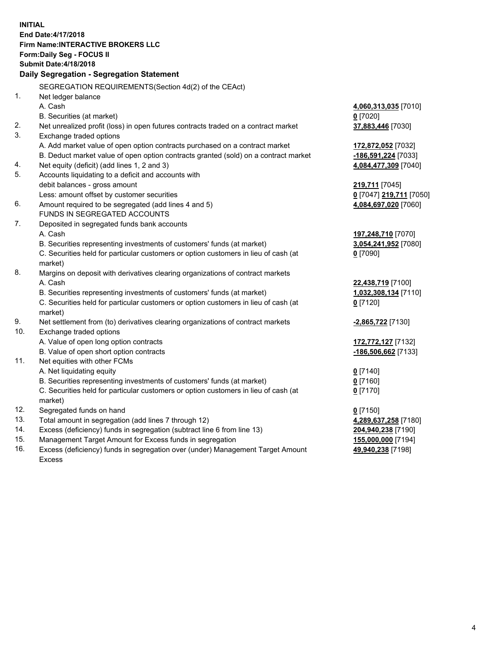**INITIAL End Date:4/17/2018 Firm Name:INTERACTIVE BROKERS LLC Form:Daily Seg - FOCUS II Submit Date:4/18/2018 Daily Segregation - Segregation Statement** SEGREGATION REQUIREMENTS(Section 4d(2) of the CEAct) 1. Net ledger balance A. Cash **4,060,313,035** [7010] B. Securities (at market) **0** [7020] 2. Net unrealized profit (loss) in open futures contracts traded on a contract market **37,883,446** [7030] 3. Exchange traded options A. Add market value of open option contracts purchased on a contract market **172,872,052** [7032] B. Deduct market value of open option contracts granted (sold) on a contract market **-186,591,224** [7033] 4. Net equity (deficit) (add lines 1, 2 and 3) **4,084,477,309** [7040] 5. Accounts liquidating to a deficit and accounts with debit balances - gross amount **219,711** [7045] Less: amount offset by customer securities **0** [7047] **219,711** [7050] 6. Amount required to be segregated (add lines 4 and 5) **4,084,697,020** [7060] FUNDS IN SEGREGATED ACCOUNTS 7. Deposited in segregated funds bank accounts A. Cash **197,248,710** [7070] B. Securities representing investments of customers' funds (at market) **3,054,241,952** [7080] C. Securities held for particular customers or option customers in lieu of cash (at market) **0** [7090] 8. Margins on deposit with derivatives clearing organizations of contract markets A. Cash **22,438,719** [7100] B. Securities representing investments of customers' funds (at market) **1,032,308,134** [7110] C. Securities held for particular customers or option customers in lieu of cash (at market) **0** [7120] 9. Net settlement from (to) derivatives clearing organizations of contract markets **-2,865,722** [7130] 10. Exchange traded options A. Value of open long option contracts **172,772,127** [7132] B. Value of open short option contracts **-186,506,662** [7133] 11. Net equities with other FCMs A. Net liquidating equity **0** [7140] B. Securities representing investments of customers' funds (at market) **0** [7160] C. Securities held for particular customers or option customers in lieu of cash (at market) **0** [7170] 12. Segregated funds on hand **0** [7150] 13. Total amount in segregation (add lines 7 through 12) **4,289,637,258** [7180] 14. Excess (deficiency) funds in segregation (subtract line 6 from line 13) **204,940,238** [7190] 15. Management Target Amount for Excess funds in segregation **155,000,000** [7194] **49,940,238** [7198]

16. Excess (deficiency) funds in segregation over (under) Management Target Amount Excess